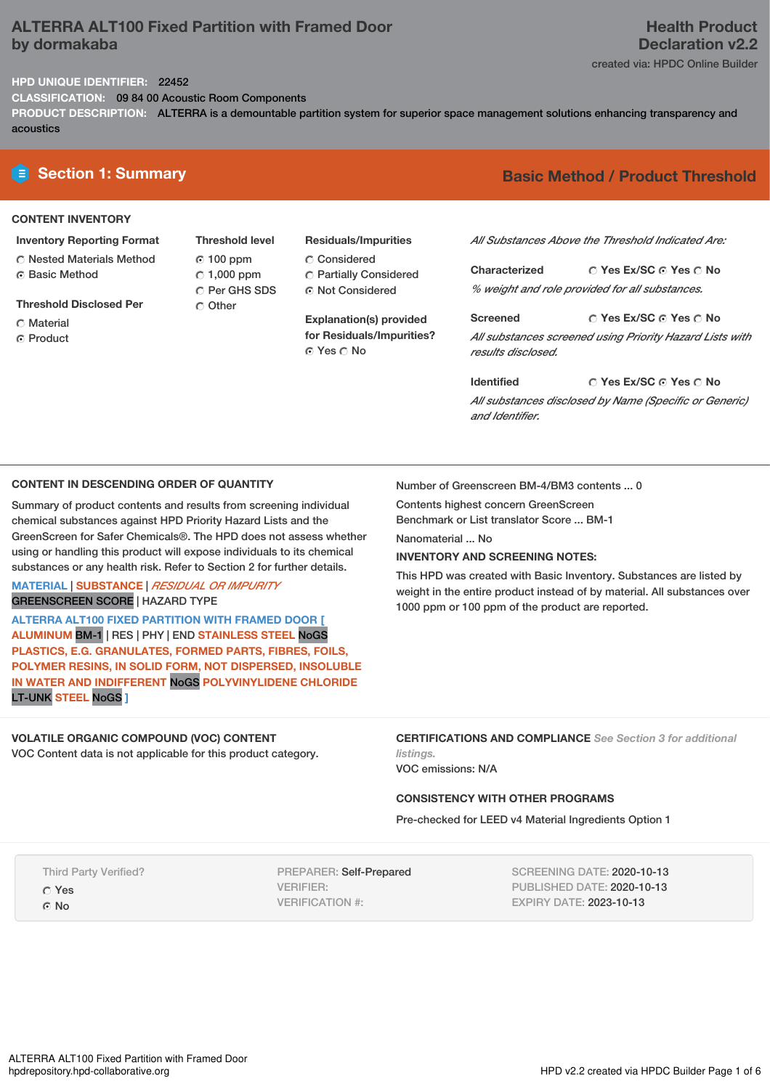# **ALTERRA ALT100 Fixed Partition with Framed Door by dormakaba**

# **Health Product Declaration v2.2**

created via: HPDC Online Builder

# **HPD UNIQUE IDENTIFIER:** 22452

**CLASSIFICATION:** 09 84 00 Acoustic Room Components

**PRODUCT DESCRIPTION:** ALTERRA is a demountable partition system for superior space management solutions enhancing transparency and acoustics

# **CONTENT INVENTORY**

- **Inventory Reporting Format** Nested Materials Method
- **G** Basic Method
- **Threshold Disclosed Per**
- C Material
- **C** Product

**Threshold level** 100 ppm  $C$  1,000 ppm C Per GHS SDS O Other

**Residuals/Impurities** Considered Partially Considered Not Considered

**Explanation(s) provided for Residuals/Impurities?** © Yes ∩ No

# **E** Section 1: Summary **Basic** Method / Product Threshold

*All Substances Above the Threshold Indicated Are:*

**Yes Ex/SC Yes No Characterized** *% weight and role provided for all substances.*

**Yes Ex/SC Yes No Screened** *All substances screened using Priority Hazard Lists with results disclosed.*

**Yes Ex/SC Yes No Identified** *All substances disclosed by Name (Specific or Generic) and Identifier.*

## **CONTENT IN DESCENDING ORDER OF QUANTITY**

Summary of product contents and results from screening individual chemical substances against HPD Priority Hazard Lists and the GreenScreen for Safer Chemicals®. The HPD does not assess whether using or handling this product will expose individuals to its chemical substances or any health risk. Refer to Section 2 for further details.

# **MATERIAL** | **SUBSTANCE** | *RESIDUAL OR IMPURITY* GREENSCREEN SCORE | HAZARD TYPE

**ALTERRA ALT100 FIXED PARTITION WITH FRAMED DOOR [ ALUMINUM** BM-1 | RES | PHY | END **STAINLESS STEEL** NoGS **PLASTICS, E.G. GRANULATES, FORMED PARTS, FIBRES, FOILS, POLYMER RESINS, IN SOLID FORM, NOT DISPERSED, INSOLUBLE IN WATER AND INDIFFERENT** NoGS **POLYVINYLIDENE CHLORIDE** LT-UNK **STEEL** NoGS **]**

# **VOLATILE ORGANIC COMPOUND (VOC) CONTENT**

VOC Content data is not applicable for this product category.

Number of Greenscreen BM-4/BM3 contents ... 0

Contents highest concern GreenScreen

Benchmark or List translator Score ... BM-1

Nanomaterial ... No

# **INVENTORY AND SCREENING NOTES:**

This HPD was created with Basic Inventory. Substances are listed by weight in the entire product instead of by material. All substances over 1000 ppm or 100 ppm of the product are reported.

**CERTIFICATIONS AND COMPLIANCE** *See Section 3 for additional listings.*

VOC emissions: N/A

# **CONSISTENCY WITH OTHER PROGRAMS**

Pre-checked for LEED v4 Material Ingredients Option 1

Third Party Verified?

Yes

G<sub>No</sub>

PREPARER: Self-Prepared VERIFIER: VERIFICATION #:

SCREENING DATE: 2020-10-13 PUBLISHED DATE: 2020-10-13 EXPIRY DATE: 2023-10-13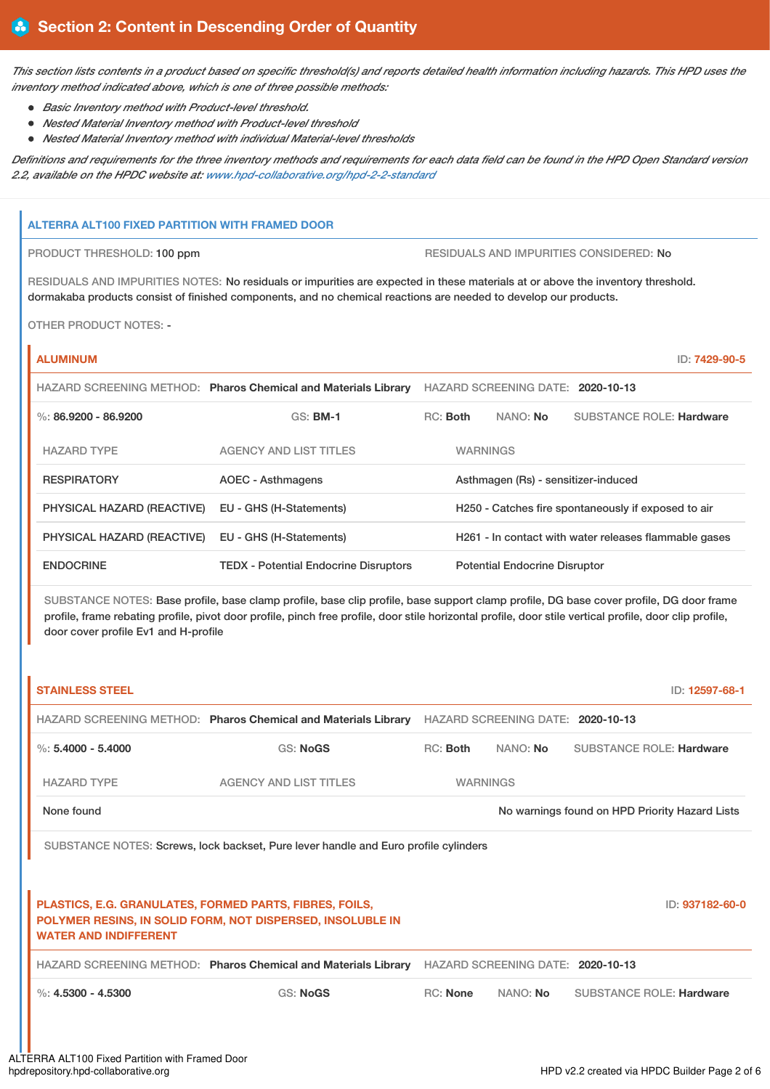This section lists contents in a product based on specific threshold(s) and reports detailed health information including hazards. This HPD uses the *inventory method indicated above, which is one of three possible methods:*

- *Basic Inventory method with Product-level threshold.*
- *Nested Material Inventory method with Product-level threshold*
- *Nested Material Inventory method with individual Material-level thresholds*

Definitions and requirements for the three inventory methods and requirements for each data field can be found in the HPD Open Standard version *2.2, available on the HPDC website at: [www.hpd-collaborative.org/hpd-2-2-standard](https://www.hpd-collaborative.org/hpd-2-2-standard)*

## **ALTERRA ALT100 FIXED PARTITION WITH FRAMED DOOR**

PRODUCT THRESHOLD: 100 ppm RESIDUALS AND IMPURITIES CONSIDERED: No

RESIDUALS AND IMPURITIES NOTES: No residuals or impurities are expected in these materials at or above the inventory threshold. dormakaba products consist of finished components, and no chemical reactions are needed to develop our products.

OTHER PRODUCT NOTES: -

# **ALUMINUM** ID: **7429-90-5**

|                            | HAZARD SCREENING METHOD: Pharos Chemical and Materials Library | HAZARD SCREENING DATE: 2020-10-13                   |                                                       |                                      |                                 |
|----------------------------|----------------------------------------------------------------|-----------------------------------------------------|-------------------------------------------------------|--------------------------------------|---------------------------------|
| %: $86.9200 - 86.9200$     | $GS:$ BM-1                                                     | $RC:$ Both                                          |                                                       | NANO: <b>No</b>                      | <b>SUBSTANCE ROLE: Hardware</b> |
| <b>HAZARD TYPE</b>         | <b>AGENCY AND LIST TITLES</b>                                  | <b>WARNINGS</b>                                     |                                                       |                                      |                                 |
| <b>RESPIRATORY</b>         | <b>AOEC - Asthmagens</b>                                       | Asthmagen (Rs) - sensitizer-induced                 |                                                       |                                      |                                 |
| PHYSICAL HAZARD (REACTIVE) | EU - GHS (H-Statements)                                        | H250 - Catches fire spontaneously if exposed to air |                                                       |                                      |                                 |
| PHYSICAL HAZARD (REACTIVE) | EU - GHS (H-Statements)                                        |                                                     | H261 - In contact with water releases flammable gases |                                      |                                 |
| <b>ENDOCRINE</b>           | <b>TEDX</b> - Potential Endocrine Disruptors                   |                                                     |                                                       | <b>Potential Endocrine Disruptor</b> |                                 |

SUBSTANCE NOTES: Base profile, base clamp profile, base clip profile, base support clamp profile, DG base cover profile, DG door frame profile, frame rebating profile, pivot door profile, pinch free profile, door stile horizontal profile, door stile vertical profile, door clip profile, door cover profile Ev1 and H-profile

| <b>STAINLESS STEEL</b>                                                              |                                                                |                 |                                   | ID: 12597-68-1                  |  |  |
|-------------------------------------------------------------------------------------|----------------------------------------------------------------|-----------------|-----------------------------------|---------------------------------|--|--|
|                                                                                     | HAZARD SCREENING METHOD: Pharos Chemical and Materials Library |                 | HAZARD SCREENING DATE: 2020-10-13 |                                 |  |  |
| %: $5.4000 - 5.4000$                                                                | <b>GS: NoGS</b>                                                | RC: Both        | NANO: No                          | <b>SUBSTANCE ROLE: Hardware</b> |  |  |
| <b>HAZARD TYPE</b>                                                                  | <b>AGENCY AND LIST TITLES</b>                                  | <b>WARNINGS</b> |                                   |                                 |  |  |
| None found                                                                          | No warnings found on HPD Priority Hazard Lists                 |                 |                                   |                                 |  |  |
| SUBSTANCE NOTES: Screws, lock backset, Pure lever handle and Euro profile cylinders |                                                                |                 |                                   |                                 |  |  |
|                                                                                     |                                                                |                 |                                   |                                 |  |  |
| PLASTICS, E.G. GRANULATES, FORMED PARTS, FIBRES, FOILS,<br>ID: 937182-60-0          |                                                                |                 |                                   |                                 |  |  |
| <b>WATER AND INDIFFERENT</b>                                                        | POLYMER RESINS, IN SOLID FORM, NOT DISPERSED, INSOLUBLE IN     |                 |                                   |                                 |  |  |
|                                                                                     | HAZARD SCREENING METHOD: Pharos Chemical and Materials Library |                 | HAZARD SCREENING DATE: 2020-10-13 |                                 |  |  |
| %: $4.5300 - 4.5300$                                                                | <b>GS: NoGS</b>                                                | RC: None        | NANO: No                          | <b>SUBSTANCE ROLE: Hardware</b> |  |  |
|                                                                                     |                                                                |                 |                                   |                                 |  |  |
|                                                                                     |                                                                |                 |                                   |                                 |  |  |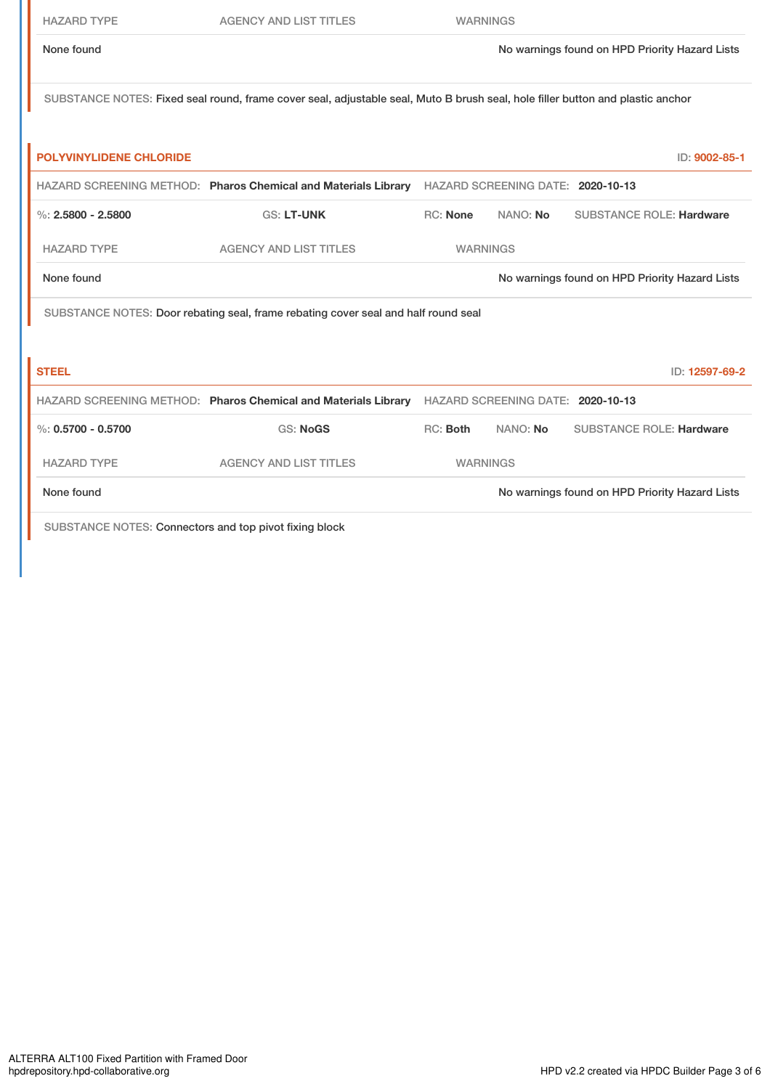| <b>HAZARD TYPE</b>                                     | <b>AGENCY AND LIST TITLES</b>                                                                                                  | <b>WARNINGS</b>                                |          |  |                                                |
|--------------------------------------------------------|--------------------------------------------------------------------------------------------------------------------------------|------------------------------------------------|----------|--|------------------------------------------------|
| None found                                             |                                                                                                                                |                                                |          |  | No warnings found on HPD Priority Hazard Lists |
|                                                        | SUBSTANCE NOTES: Fixed seal round, frame cover seal, adjustable seal, Muto B brush seal, hole filler button and plastic anchor |                                                |          |  |                                                |
| <b>POLYVINYLIDENE CHLORIDE</b>                         |                                                                                                                                |                                                |          |  | ID: 9002-85-1                                  |
|                                                        | HAZARD SCREENING METHOD: Pharos Chemical and Materials Library HAZARD SCREENING DATE: 2020-10-13                               |                                                |          |  |                                                |
| $\%$ : 2.5800 - 2.5800                                 | <b>GS: LT-UNK</b>                                                                                                              | <b>RC:</b> None                                | NANO: No |  | <b>SUBSTANCE ROLE: Hardware</b>                |
| <b>HAZARD TYPE</b>                                     | <b>AGENCY AND LIST TITLES</b>                                                                                                  | <b>WARNINGS</b>                                |          |  |                                                |
| None found                                             |                                                                                                                                |                                                |          |  | No warnings found on HPD Priority Hazard Lists |
|                                                        | SUBSTANCE NOTES: Door rebating seal, frame rebating cover seal and half round seal                                             |                                                |          |  |                                                |
|                                                        |                                                                                                                                |                                                |          |  |                                                |
| <b>STEEL</b>                                           |                                                                                                                                |                                                |          |  | ID: 12597-69-2                                 |
|                                                        | HAZARD SCREENING METHOD: Pharos Chemical and Materials Library HAZARD SCREENING DATE: 2020-10-13                               |                                                |          |  |                                                |
| $\%: 0.5700 - 0.5700$                                  | <b>GS: NoGS</b>                                                                                                                | RC: Both                                       | NANO: No |  | <b>SUBSTANCE ROLE: Hardware</b>                |
| <b>HAZARD TYPE</b>                                     | <b>AGENCY AND LIST TITLES</b>                                                                                                  | <b>WARNINGS</b>                                |          |  |                                                |
| None found                                             |                                                                                                                                | No warnings found on HPD Priority Hazard Lists |          |  |                                                |
| SUBSTANCE NOTES: Connectors and top pivot fixing block |                                                                                                                                |                                                |          |  |                                                |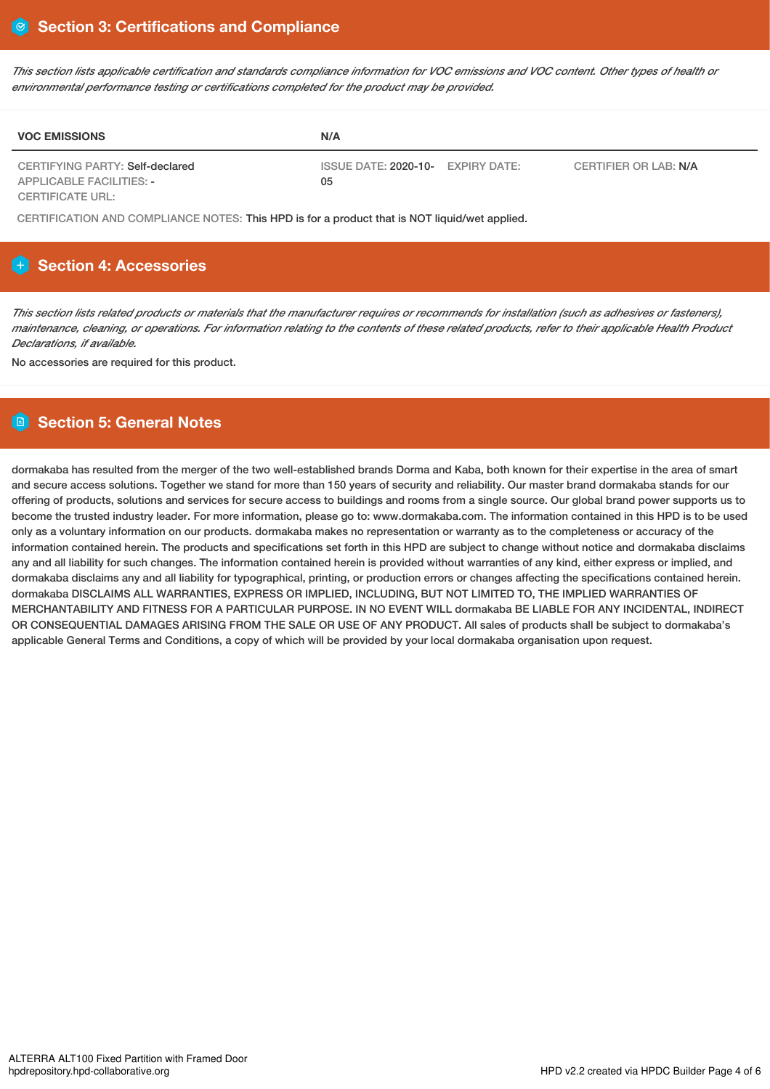This section lists applicable certification and standards compliance information for VOC emissions and VOC content. Other types of health or *environmental performance testing or certifications completed for the product may be provided.*

| <b>VOC EMISSIONS</b>                                               | N/A                                     |                       |
|--------------------------------------------------------------------|-----------------------------------------|-----------------------|
| CERTIFYING PARTY: Self-declared<br><b>APPLICABLE FACILITIES: -</b> | ISSUE DATE: 2020-10- EXPIRY DATE:<br>05 | CERTIFIER OR LAB: N/A |
| <b>CERTIFICATE URL:</b>                                            |                                         |                       |

CERTIFICATION AND COMPLIANCE NOTES: This HPD is for a product that is NOT liquid/wet applied.

# **H** Section 4: Accessories

This section lists related products or materials that the manufacturer requires or recommends for installation (such as adhesives or fasteners), maintenance, cleaning, or operations. For information relating to the contents of these related products, refer to their applicable Health Product *Declarations, if available.*

No accessories are required for this product.

# **Section 5: General Notes**

dormakaba has resulted from the merger of the two well-established brands Dorma and Kaba, both known for their expertise in the area of smart and secure access solutions. Together we stand for more than 150 years of security and reliability. Our master brand dormakaba stands for our offering of products, solutions and services for secure access to buildings and rooms from a single source. Our global brand power supports us to become the trusted industry leader. For more information, please go to: www.dormakaba.com. The information contained in this HPD is to be used only as a voluntary information on our products. dormakaba makes no representation or warranty as to the completeness or accuracy of the information contained herein. The products and specifications set forth in this HPD are subject to change without notice and dormakaba disclaims any and all liability for such changes. The information contained herein is provided without warranties of any kind, either express or implied, and dormakaba disclaims any and all liability for typographical, printing, or production errors or changes affecting the specifications contained herein. dormakaba DISCLAIMS ALL WARRANTIES, EXPRESS OR IMPLIED, INCLUDING, BUT NOT LIMITED TO, THE IMPLIED WARRANTIES OF MERCHANTABILITY AND FITNESS FOR A PARTICULAR PURPOSE. IN NO EVENT WILL dormakaba BE LIABLE FOR ANY INCIDENTAL, INDIRECT OR CONSEQUENTIAL DAMAGES ARISING FROM THE SALE OR USE OF ANY PRODUCT. All sales of products shall be subject to dormakaba's applicable General Terms and Conditions, a copy of which will be provided by your local dormakaba organisation upon request.